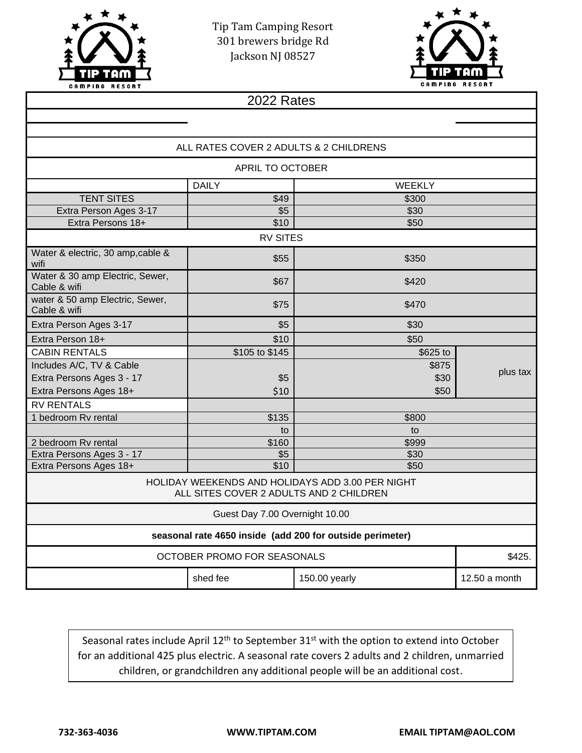

Tip Tam Camping Resort 301 brewers bridge Rd Jackson NJ 08527



| 2022 Rates                                                                                  |                |               |               |  |
|---------------------------------------------------------------------------------------------|----------------|---------------|---------------|--|
|                                                                                             |                |               |               |  |
|                                                                                             |                |               |               |  |
| ALL RATES COVER 2 ADULTS & 2 CHILDRENS                                                      |                |               |               |  |
| APRIL TO OCTOBER                                                                            |                |               |               |  |
|                                                                                             | <b>DAILY</b>   | <b>WEEKLY</b> |               |  |
| <b>TENT SITES</b>                                                                           | \$49           | \$300         |               |  |
| Extra Person Ages 3-17                                                                      | \$5            | \$30          |               |  |
| Extra Persons 18+                                                                           | \$10           | \$50          |               |  |
| <b>RV SITES</b>                                                                             |                |               |               |  |
| Water & electric, 30 amp, cable &<br>wifi                                                   | \$55           | \$350         |               |  |
| Water & 30 amp Electric, Sewer,<br>Cable & wifi                                             | \$67           | \$420         |               |  |
| water & 50 amp Electric, Sewer,<br>Cable & wifi                                             | \$75           | \$470         |               |  |
| Extra Person Ages 3-17                                                                      | \$5            | \$30          |               |  |
| Extra Person 18+                                                                            | \$10           | \$50          |               |  |
| <b>CABIN RENTALS</b>                                                                        | \$105 to \$145 | \$625 to      |               |  |
| Includes A/C, TV & Cable                                                                    |                | \$875         |               |  |
| Extra Persons Ages 3 - 17                                                                   | \$5            | \$30          | plus tax      |  |
| Extra Persons Ages 18+                                                                      | \$10           | \$50          |               |  |
| <b>RV RENTALS</b>                                                                           |                |               |               |  |
| 1 bedroom Rv rental                                                                         | \$135          | \$800         |               |  |
|                                                                                             | to             | to            |               |  |
| 2 bedroom Rv rental                                                                         | \$160          | \$999         |               |  |
| Extra Persons Ages 3 - 17                                                                   | \$5            | \$30          |               |  |
| Extra Persons Ages 18+                                                                      | \$10           | \$50          |               |  |
| HOLIDAY WEEKENDS AND HOLIDAYS ADD 3.00 PER NIGHT<br>ALL SITES COVER 2 ADULTS AND 2 CHILDREN |                |               |               |  |
| Guest Day 7.00 Overnight 10.00                                                              |                |               |               |  |
| seasonal rate 4650 inside (add 200 for outside perimeter)                                   |                |               |               |  |
| <b>OCTOBER PROMO FOR SEASONALS</b>                                                          |                |               | \$425.        |  |
|                                                                                             | shed fee       | 150.00 yearly | 12.50 a month |  |

Seasonal rates include April 12<sup>th</sup> to September 31<sup>st</sup> with the option to extend into October for an additional 425 plus electric. A seasonal rate covers 2 adults and 2 children, unmarried children, or grandchildren any additional people will be an additional cost.